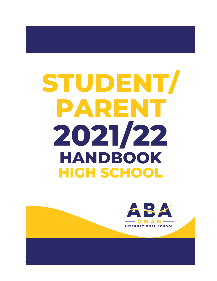# STUDENT/ PARENT 2021/22 **HANDBOOK HIGH SCHOOL**

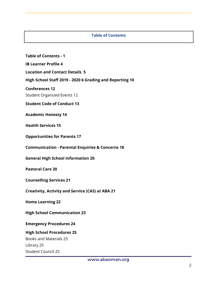#### **Table of Contents**

**Table of Contents - 1**

**IB Learner Profile 4**

**Location and Contact Details 5**

**High School Staff 2019 - 2020 6 Grading and Reporting 10**

**Conferences 12**

Student Organized Events 12

**Student Code of Conduct 13**

**Academic Honesty 14**

**Health Services 15**

**Opportunities for Parents 17**

**Communication - Parental Enquiries & Concerns 18**

**General High School Information 20**

**Pastoral Care 20**

**Counselling Services 21**

**Creativity, Activity and Service (CAS) at ABA 21**

**Home Learning 22**

**High School Communication 23**

#### **Emergency Procedures 24**

#### **High School Procedures 25**

Books and Materials 25 Library 25 Student Council 25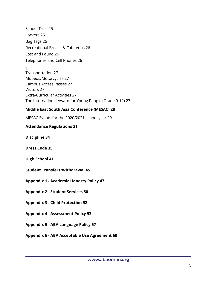School Trips 25 Lockers 25 Bag Tags 26 Recreational Breaks & Cafeterias 26 Lost and Found 26 Telephones and Cell Phones 26

1 Transportation 27 Mopeds/Motorcycles 27 Campus Access Passes 27 Visitors 27 Extra-Curricular Activities 27 The International Award for Young People (Grade 9-12) 27

# **Middle East South Asia Conference (MESAC) 28**

MESAC Events for the 2020/2021 school year 29

# **Attendance Regulations 31**

**Discipline 34**

**Dress Code 35**

**High School 41**

- **Student Transfers/Withdrawal 45**
- **Appendix 1 - Academic Honesty Policy 47**
- **Appendix 2 - Student Services 50**
- **Appendix 3 - Child Protection 52**
- **Appendix 4 - Assessment Policy 53**
- **Appendix 5 - ABA Language Policy 57**
- **Appendix 6 - ABA Acceptable Use Agreement 60**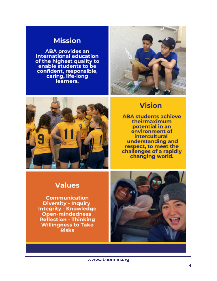# **Mission**

**ABA provides an** international education of the highest quality to enable students to be confident, responsible, caring, life-long learners.





# **Vision**

**ABA students achieve** theirmaximum potential in an environment of **intercultural** understanding and respect, to meet the challenges of a rapidly changing world.

# **Values**

**Communication Diversity - Inquiry Integrity - Knowledge Open-mindedness Reflection - Thinking Willingness to Take Risks** 

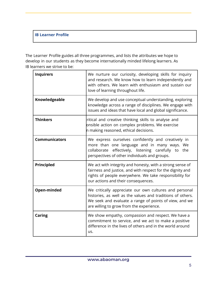# **IB Learner Profile**

The Learner Profile guides all three programmes, and lists the attributes we hope to develop in our students as they become internationally minded lifelong learners. As IB learners we strive to be:

| <b>Inquirers</b>     | We nurture our curiosity, developing skills for inquiry<br>and research. We know how to learn independently and<br>with others. We learn with enthusiasm and sustain our<br>love of learning throughout life.              |
|----------------------|----------------------------------------------------------------------------------------------------------------------------------------------------------------------------------------------------------------------------|
| Knowledgeable        | We develop and use conceptual understanding, exploring<br>knowledge across a range of disciplines. We engage with<br>issues and ideas that have local and global significance.                                             |
| <b>Thinkers</b>      | ritical and creative thinking skills to analyse and<br>onsible action on complex problems. We exercise<br>n making reasoned, ethical decisions.                                                                            |
| <b>Communicators</b> | We express ourselves confidently and creatively in<br>more than one language and in many ways. We<br>collaborate effectively, listening carefully to the<br>perspectives of other individuals and groups.                  |
| Principled           | We act with integrity and honesty, with a strong sense of<br>fairness and justice, and with respect for the dignity and<br>rights of people everywhere. We take responsibility for<br>our actions and their consequences.  |
| Open-minded          | We critically appreciate our own cultures and personal<br>histories, as well as the values and traditions of others.<br>We seek and evaluate a range of points of view, and we<br>are willing to grow from the experience. |
| <b>Caring</b>        | We show empathy, compassion and respect. We have a<br>commitment to service, and we act to make a positive<br>difference in the lives of others and in the world around<br>us.                                             |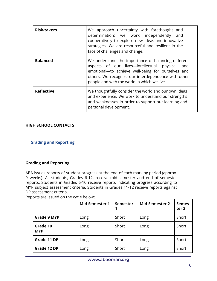| <b>Risk-takers</b> | We approach uncertainty with forethought and<br>determination; we work independently and<br>cooperatively to explore new ideas and innovative<br>strategies. We are resourceful and resilient in the<br>face of challenges and change.                             |
|--------------------|--------------------------------------------------------------------------------------------------------------------------------------------------------------------------------------------------------------------------------------------------------------------|
| <b>Balanced</b>    | We understand the importance of balancing different<br>aspects of our lives-intellectual, physical, and<br>emotional-to achieve well-being for ourselves and<br>others. We recognize our interdependence with other<br>people and with the world in which we live. |
| <b>Reflective</b>  | We thoughtfully consider the world and our own ideas<br>and experience. We work to understand our strengths<br>and weaknesses in order to support our learning and<br>personal development.                                                                        |

# **HIGH SCHOOL CONTACTS**

**Grading and Reporting**

# **Grading and Reporting**

ABA issues reports of student progress at the end of each marking period (approx. 9 weeks). All students, Grades 6-12, receive mid-semester and end of semester reports. Students in Grades 6-10 receive reports indicating progress according to MYP subject assessment criteria. Students in Grades 11-12 receive reports against DP assessment criteria.

| Reports are issued on the cycle below: |
|----------------------------------------|
|----------------------------------------|

|                        | <b>Mid-Semester 1</b> | <b>Semester</b> | <b>Mid-Semester 2</b> | <b>Semes</b><br>ter <sub>2</sub> |
|------------------------|-----------------------|-----------------|-----------------------|----------------------------------|
| <b>Grade 9 MYP</b>     | Long                  | Short           | Long                  | Short                            |
| Grade 10<br><b>MYP</b> | Long                  | Short           | Long                  | Short                            |
| Grade 11 DP            | Long                  | Short           | Long                  | Short                            |
| Grade 12 DP            | Long                  | Short           | Long                  | Short                            |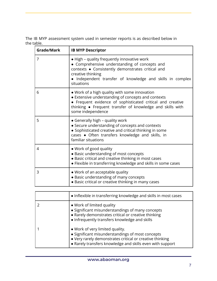The IB MYP assessment system used in semester reports is as described below in the table.

| Grade/Mark | <b>IB MYP Descriptor</b>                                                                                                                                                                                                                            |
|------------|-----------------------------------------------------------------------------------------------------------------------------------------------------------------------------------------------------------------------------------------------------|
| 7          | • High - quality frequently innovative work<br>• Comprehensive understanding of concepts and<br>contexts . Consistently demonstrates critical and<br>creative thinking<br>· Independent transfer of knowledge and skills in complex<br>situations   |
| 6          | • Work of a high quality with some innovation<br>• Extensive understanding of concepts and contexts<br>• Frequent evidence of sophisticated critical and creative<br>thinking • Frequent transfer of knowledge and skills with<br>some independence |
| 5          | • Generally high - quality work<br>• Secure understanding of concepts and contexts<br>• Sophisticated creative and critical thinking in some<br>cases . Often transfers knowledge and skills, in<br>familiar situations                             |
| 4          | • Work of good quality<br>· Basic understanding of most concepts<br>• Basic critical and creative thinking in most cases<br>• Flexible in transferring knowledge and skills in some cases                                                           |
| 3          | . Work of an acceptable quality<br>· Basic understanding of many concepts<br>• Basic critical or creative thinking in many cases                                                                                                                    |

| • Inflexible in transferring knowledge and skills in most cases                                                                                                                                              |
|--------------------------------------------------------------------------------------------------------------------------------------------------------------------------------------------------------------|
| • Work of limited quality<br>• Significant misunderstandings of many concepts<br>• Rarely demonstrates critical or creative thinking<br>• Infrequently transfers knowledge and skills                        |
| • Work of very limited quality.<br>• Significant misunderstandings of most concepts<br>• Very rarely demonstrates critical or creative thinking<br>• Rarely transfers knowledge and skills even with support |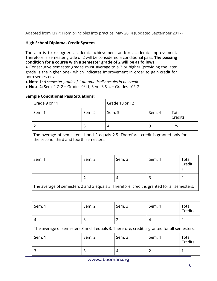Adapted from MYP: From principles into practice. May 2014 (updated September 2017).

# **High School Diploma- Credit System**

The aim is to recognize academic achievement and/or academic improvement. Therefore, a semester grade of 2 will be considered a conditional pass. **The passing condition for a course with a semester grade of 2 will be as follows**:

*●* Consecutive semester grades must average to a 3 or higher (providing the later grade is the higher one), which indicates improvement in order to gain credit for both semesters.

*●* **Note 1:** *A semester grade of 1 automatically results in no credit.*

*●* **Note 2:** Sem. 1 & 2 = Grades 9/11; Sem. 3 & 4 = Grades 10/12

#### **Sample Conditional Pass Situations**:

| Grade 9 or 11                                                                                                                 |        | Grade 10 or 12 |        |                  |
|-------------------------------------------------------------------------------------------------------------------------------|--------|----------------|--------|------------------|
| Sem. 1                                                                                                                        | Sem. 2 | Sem. 3         | Sem. 4 | Total<br>Credits |
|                                                                                                                               |        |                |        | $1\frac{1}{2}$   |
| The average of semesters 1 and 2 equals 2.5. Therefore, credit is granted only for<br>the second, third and fourth semesters. |        |                |        |                  |

| Sem. 1                                                                                     | Sem. 2 | Sem. 3 | Sem. 4 | Total<br>Credit |
|--------------------------------------------------------------------------------------------|--------|--------|--------|-----------------|
|                                                                                            |        |        |        |                 |
| The average of semesters 2 and 3 equals 3. Therefore, credit is granted for all semesters. |        |        |        |                 |

| Sem. 1                                                                                     | Sem. 2 | Sem. 3 | Sem. 4 | Total<br>Credits |
|--------------------------------------------------------------------------------------------|--------|--------|--------|------------------|
|                                                                                            | 3      |        | 4      |                  |
| The average of semesters 3 and 4 equals 3. Therefore, credit is granted for all semesters. |        |        |        |                  |
| Sem. 1                                                                                     | Sem. 2 | Sem. 3 | Sem. 4 | Total<br>Credits |
|                                                                                            |        |        |        |                  |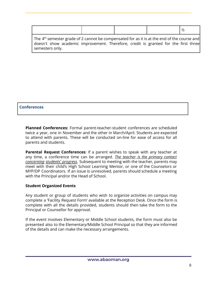|                                                                                                                                                                                                                   |  | $\frac{1}{2}$ |
|-------------------------------------------------------------------------------------------------------------------------------------------------------------------------------------------------------------------|--|---------------|
| The 4 <sup>th</sup> semester grade of 2 cannot be compensated for as it is at the end of the course and<br>doesn't show academic improvement. Therefore, credit is granted for the first three<br>semesters only. |  |               |

#### **Conferences**

**Planned Conferences:** Formal parent-teacher-student conferences are scheduled twice a year, one in November and the other in March/April. Students are expected to attend with parents. These will be conducted on-line for ease of access for all parents and students.

**Parental Request Conferences**: If a parent wishes to speak with any teacher at any time, a conference time can be arranged. *The teacher is the primary contact concerning students' progress*. Subsequent to meeting with the teacher, parents may meet with their child's High School Learning Mentor, or one of the Counselors or MYP/DP Coordinators. If an issue is unresolved, parents should schedule a meeting with the Principal and/or the Head of School.

#### **Student Organized Events**

Any student or group of students who wish to organize activities on campus may complete a 'Facility Request Form' available at the Reception Desk. Once the form is complete with all the details provided, students should then take the form to the Principal or Counsellor for approval.

If the event involves Elementary or Middle School students, the form must also be presented also to the Elementary/Middle School Principal so that they are informed of the details and can make the necessary arrangements.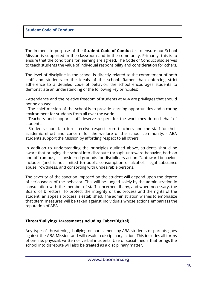#### **Student Code of Conduct**

The immediate purpose of the **Student Code of Conduct** is to ensure our School Mission is supported in the classroom and in the community. Primarily, this is to ensure that the conditions for learning are agreed. The Code of Conduct also serves to teach students the value of individual responsibility and consideration for others.

The level of discipline in the school is directly related to the commitment of both staff and students to the ideals of the school. Rather than enforcing strict adherence to a detailed code of behavior, the school encourages students to demonstrate an understanding of the following key principles:

- Attendance and the relative freedom of students at ABA are privileges that should not be abused.

- The chief mission of the school is to provide learning opportunities and a caring environment for students from all over the world.

- Teachers and support staff deserve respect for the work they do on behalf of students.

- Students should, in turn, receive respect from teachers and the staff for their academic effort and concern for the welfare of the school community. - ABA students support the Mission by affording respect to all others.

In addition to understanding the principles outlined above, students should be aware that bringing the school into disrepute through untoward behavior, both on and off campus, is considered grounds for disciplinary action. "Untoward behavior" includes (and is not limited to) public consumption of alcohol, illegal substance abuse, rowdiness, and consorting with undesirable persons.

The severity of the sanction imposed on the student will depend upon the degree of seriousness of the behavior. This will be judged solely by the administration in consultation with the member of staff concerned, if any, and when necessary, the Board of Directors. To protect the integrity of this process and the rights of the student, an appeals process is established. The administration wishes to emphasize that stern measures will be taken against individuals whose actions embarrass the reputation of ABA.

#### **Threat/Bullying/Harassment (Including Cyber/Digital)**

Any type of threatening, bullying or harassment by ABA students or parents goes against the ABA Mission and will result in disciplinary action. This includes all forms of on-line, physical, written or verbal incidents. Use of social media that brings the school into disrepute will also be treated as a disciplinary matter.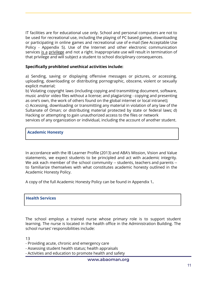IT facilities are for educational use only. School and personal computers are not to be used for recreational use, including the playing of PC based games, downloading or participating in online games and recreational use of e-mail (See Acceptable Use Policy - Appendix 5). Use of the Internet and other electronic communication services is a privilege and not a right. Inappropriate use will result in termination of that privilege and will subject a student to school disciplinary consequences.

#### **Specifically prohibited unethical activities include:**

a) Sending, saving or displaying offensive messages or pictures, or accessing, uploading, downloading or distributing pornographic, obscene, violent or sexually explicit material;

b) Violating copyright laws (including copying and transmitting document, software, music and/or video files without a license; and plagiarizing - copying and presenting as one's own, the work of others found on the global internet or local intranet); c) Accessing, downloading or transmitting any material in violation of any law of the Sultanate of Oman; or distributing material protected by state or federal laws; d) Hacking or attempting to gain unauthorized access to the files or network services of any organization or individual, including the account of another student.

#### **Academic Honesty**

In accordance with the IB Learner Profile (2013) and ABA's Mission, Vision and Value statements, we expect students to be principled and act with academic integrity. We ask each member of the school community -- students, teachers and parents -to familiarize themselves with what constitutes academic honesty outlined in the Academic Honesty Policy.

A copy of the full Academic Honesty Policy can be found in Appendix 1**.**

#### **Health Services**

The school employs a trained nurse whose primary role is to support student learning. The nurse is located in the health office in the Administration Building. The school nurses' responsibilities include:

13

- Providing acute, chronic and emergency care
- Assessing student health status; health appraisals
- Activities and education to promote health and safety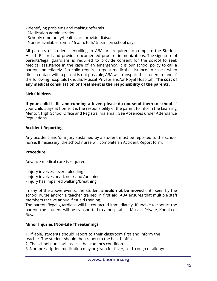- Identifying problems and making referrals
- Medication administration
- School/community/health care provider liaison
- Nurses available from 7:15 a.m. to 5:15 p.m. on school days

All parents of students enrolling in ABA are required to complete the Student Health Record and provide documented proof of immunizations. The signature of parents/legal guardians is required to provide consent for the school to seek medical assistance in the case of an emergency. It is our school policy to call a parent immediately if a child requires urgent medical assistance. In cases, when direct contact with a parent is not possible, ABA will transport the student to one of the following hospitals (Khoula, Muscat Private and/or Royal Hospital**). The cost of any medical consultation or treatment is the responsibility of the parents.**

#### **Sick Children**

**If your child is ill, and running a fever, please do not send them to school**. If your child stays at home, it is the responsibility of the parent to inform the Learning Mentor, High School Office and Registrar via email. See Absences under Attendance Regulations.

#### **Accident Reporting**

Any accident and/or injury sustained by a student must be reported to the school nurse. If necessary, the school nurse will complete an Accident Report form.

#### **Procedure**:

Advance medical care is required if:

- injury involves severe bleeding
- injury involves head, neck and /or spine
- injury has impaired walking/breathing

In any of the above events, the student **should not be moved** until seen by the school nurse and/or a teacher trained in first aid. ABA ensures that multiple staff members receive annual first aid training.

The parents/legal guardians will be contacted immediately. If unable to contact the parent, the student will be transported to a hospital i.e. Muscat Private, Khoula or Royal.

#### **Minor Injuries (Non-Life Threatening)**

1. If able, students should report to their classroom first and inform the

- teacher. The student should then report to the health office.
- 2. The school nurse will assess the student's condition.
- 3. Non-prescription medication may be given for fever, cold, cough or allergy.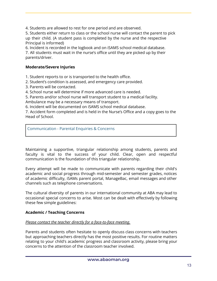4. Students are allowed to rest for one period and are observed.

5. Students either return to class or the school nurse will contact the parent to pick up their child. (A student pass is completed by the nurse and the respective Principal is informed)

6. Incident is recorded in the logbook and on iSAMS school medical database. 7. All students must wait in the nurse's office until they are picked up by their parents/driver.

# **Moderate/Severe Injuries**

1. Student reports to or is transported to the health office.

2. Student's condition is assessed, and emergency care provided.

3. Parents will be contacted.

4. School nurse will determine if more advanced care is needed.

5. Parents and/or school nurse will transport student to a medical facility. Ambulance may be a necessary means of transport.

6. Incident will be documented on iSAMS school medical database.

7. Accident form completed and is held in the Nurse's Office and a copy goes to the Head of School.

Communication - Parental Enquiries & Concerns

Maintaining a supportive, triangular relationship among students, parents and faculty is vital to the success of your child. Clear, open and respectful communication is the foundation of this triangular relationship.

Every attempt will be made to communicate with parents regarding their child's academic and social progress through mid-semester and semester grades, notices of academic difficulty, iSAMs parent portal, ManageBac, email messages and other channels such as telephone conversations.

The cultural diversity of parents in our international community at ABA may lead to occasional special concerns to arise. Most can be dealt with effectively by following these few simple guidelines:

# **Academic / Teaching Concerns**

#### *Please contact the teacher directly for a face-to-face meeting.*

Parents and students often hesitate to openly discuss class concerns with teachers but approaching teachers directly has the most positive results. For routine matters relating to your child's academic progress and classroom activity, please bring your concerns to the attention of the classroom teacher involved.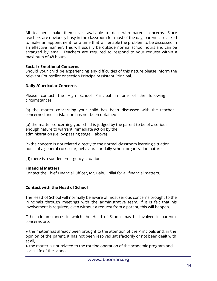All teachers make themselves available to deal with parent concerns. Since teachers are obviously busy in the classroom for most of the day, parents are asked to make an appointment for a time that will enable the problem to be discussed in an effective manner. This will usually be outside normal school hours and can be arranged by email. Teachers are required to respond to your request within a maximum of 48 hours.

#### **Social / Emotional Concerns**

Should your child be experiencing any difficulties of this nature please inform the relevant Counsellor or section Principal/Assistant Principal.

#### **Daily /Curricular Concerns**

Please contact the High School Principal in one of the following circumstances:

(a) the matter concerning your child has been discussed with the teacher concerned and satisfaction has not been obtained

(b) the matter concerning your child is judged by the parent to be of a serious enough nature to warrant immediate action by the administration (i.e. by-passing stage 1 above)

(c) the concern is not related directly to the normal classroom learning situation but is of a general curricular, behavioral or daily school organization nature.

(d) there is a sudden emergency situation.

#### **Financial Matters**

Contact the Chief Financial Officer, Mr. Bahul Pillai for all financial matters.

#### **Contact with the Head of School**

The Head of School will normally be aware of most serious concerns brought to the Principals through meetings with the administrative team. If it is felt that his involvement is required, even without a request from a parent, this will happen.

Other circumstances in which the Head of School may be involved in parental concerns are:

• the matter has already been brought to the attention of the Principals and, in the opinion of the parent, it has not been resolved satisfactorily or not been dealt with at all,

• the matter is not related to the routine operation of the academic program and social life of the school,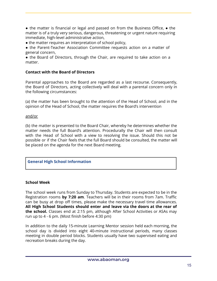● the matter is financial or legal and passed on from the Business Office, ● the matter is of a truly very serious, dangerous, threatening or urgent nature requiring immediate, high-level administrative action,

• the matter requires an interpretation of school policy,

• the Parent-Teacher Association Committee requests action on a matter of general concern,

• the Board of Directors, through the Chair, are required to take action on a matter.

## **Contact with the Board of Directors**

Parental approaches to the Board are regarded as a last recourse. Consequently, the Board of Directors, acting collectively will deal with a parental concern only in the following circumstances:

(a) the matter has been brought to the attention of the Head of School, and in the opinion of the Head of School, the matter requires the Board's intervention

and/or

(b) the matter is presented to the Board Chair, whereby he determines whether the matter needs the full Board's attention. Procedurally the Chair will then consult with the Head of School with a view to resolving the issue. Should this not be possible or if the Chair feels that the full Board should be consulted, the matter will be placed on the agenda for the next Board meeting.

# **General High School Information**

#### **School Week**

The school week runs from Sunday to Thursday. Students are expected to be in the Registration rooms **by 7:20 am**. Teachers will be in their rooms from 7am. Traffic can be busy at drop off times, please make the necessary travel time allowances. **All High School Students should enter and leave via the doors at the rear of the school.** Classes end at 2:15 pm, although After School Activities or ASAs may run up to 4 - 6 pm. (Most finish before 4:30 pm)

In addition to the daily 15-minute Learning Mentor session held each morning, the school day is divided into eight 40-minute instructional periods, many classes meeting in double period blocks. Students usually have two supervised eating and recreation breaks during the day.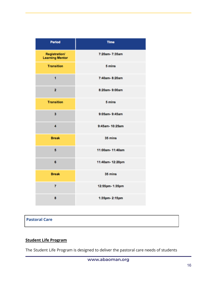| <b>Period</b>                                  | <b>Time</b>     |  |  |
|------------------------------------------------|-----------------|--|--|
| <b>Registration/</b><br><b>Learning Mentor</b> | 7:20am-7:35am   |  |  |
| <b>Transition</b>                              | 5 mins          |  |  |
| 1                                              | 7:40am-8:20am   |  |  |
| $\overline{2}$                                 | 8:20am-9:00am   |  |  |
| <b>Transition</b>                              | 5 mins          |  |  |
| 3                                              | 9:05am-9:45am   |  |  |
| 4                                              | 9:45am-10:25am  |  |  |
| <b>Break</b>                                   | 35 mins         |  |  |
| 5                                              | 11:00am-11:40am |  |  |
| 6                                              | 11:40am-12:20pm |  |  |
| <b>Break</b>                                   | 35 mins         |  |  |
| $\overline{7}$                                 | 12:55pm-1:35pm  |  |  |
| 8                                              | 1:35pm-2:15pm   |  |  |

# **Pastoral Care**

# **Student Life Program**

The Student Life Program is designed to deliver the pastoral care needs of students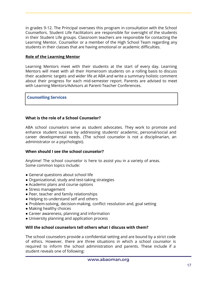in grades 9-12. The Principal oversees this program in consultation with the School Counsellors. Student Life Facilitators are responsible for oversight of the students in their Student Life groups. Classroom teachers are responsible for contacting the Learning Mentor, Counsellor or a member of the High School Team regarding any students in their classes that are having emotional or academic difficulties.

#### **Role of the Learning Mentor**

Learning Mentors meet with their students at the start of every day. Learning Mentors will meet with all their Homeroom students on a rolling basis to discuss their academic targets and wider life at ABA and write a summary holistic comment about their progress for each mid-semester report. Parents are advised to meet with Learning Mentors/Advisors at Parent-Teacher Conferences.

#### **Counselling Services**

#### **What is the role of a School Counselor?**

ABA school counselors serve as student advocates. They work to promote and enhance student success by addressing students' academic, personal/social and career developmental needs. (The school counselor is not a disciplinarian, an administrator or a psychologist).

#### **When should I see the school counselor?**

Anytime! The school counselor is here to assist you in a variety of areas. Some common topics include:

- General questions about school life
- Organizational, study and test-taking strategies
- Academic plans and course options
- Stress management
- Peer, teacher and family relationships
- Helping to understand self and others
- Problem-solving, decision-making, conflict resolution and, goal setting
- Making healthy choices
- Career awareness, planning and information
- University planning and application process

# **Will the school counselors tell others what I discuss with them?**

The school counselors provide a confidential setting and are bound by a strict code of ethics. However, there are three situations in which a school counselor is required to inform the school administration and parents. These include if a student reveals one of following: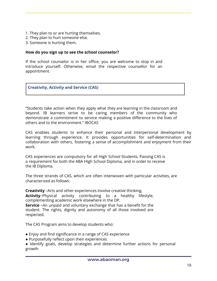- 1. They plan to or are hurting themselves.
- 2. They plan to hurt someone else.
- 3. Someone is hurting them.

#### **How do you sign up to see the school counselor?**

If the school counselor is in her office, you are welcome to stop in and introduce yourself. Otherwise, email the respective counsellor for an appointment.

**Creativity, Activity and Service (CAS)**

"Students take action when they apply what they are learning in the classroom and beyond. IB learners strive to be caring members of the community who demonstrate a commitment to service making a positive difference to the lives of others and to the environment." IBOCAS

CAS enables students to enhance their personal and interpersonal development by learning through experience. It provides opportunities for self-determination and collaboration with others, fostering a sense of accomplishment and enjoyment from their work.

CAS experiences are compulsory for all High School Students. Passing CAS is a requirement for both the ABA HIgh School Diploma, and in order to receive the IB Diploma.

The three strands of CAS, which are often interwoven with particular activities, are characterized as follows:

**Creativity** –Arts and other experiences involve creative thinking. **Activity**–Physical activity contributing to a healthy lifestyle, complementing academic work elsewhere in the DP.

**Service** –An unpaid and voluntary exchange that has a benefit for the student. The rights, dignity and autonomy of all those involved are respected.

The CAS Program aims to develop students who:

- Enjoy and find significance in a range of CAS experience
- Purposefully reflect upon their experiences
- Identify goals, develop strategies and determine further actions for personal growth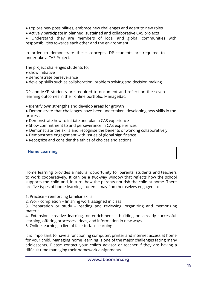- Explore new possibilities, embrace new challenges and adapt to new roles
- Actively participate in planned, sustained and collaborative CAS projects

● Understand they are members of local and global communities with responsibilities towards each other and the environment

In order to demonstrate these concepts, DP students are required to undertake a CAS Project.

The project challenges students to:

- show initiative
- demonstrate perseverance
- develop skills such as collaboration, problem solving and decision making

DP and MYP students are required to document and reflect on the seven learning outcomes in their online portfolio, ManageBac.

- Identify own strengths and develop areas for growth
- Demonstrate that challenges have been undertaken, developing new skills in the process
- Demonstrate how to initiate and plan a CAS experience
- Show commitment to and perseverance in CAS experiences
- Demonstrate the skills and recognise the benefits of working collaboratively
- Demonstrate engagement with issues of global significance
- Recognize and consider the ethics of choices and actions

# **Home Learning**

Home learning provides a natural opportunity for parents, students and teachers to work cooperatively. It can be a two-way window that reflects how the school supports the child and, in turn, how the parents nourish the child at home. There are five types of home learning students may find themselves engaged in:

1. Practice – reinforcing familiar skills

2. Work completion – finishing work assigned in class

3. Preparation or study – reading and reviewing, organizing and memorizing material

4. Extension, creative learning, or enrichment – building on already successful learning, offering processes, ideas, and information in new ways

5. Online learning in lieu of face-to-face learning

It is important to have a functioning computer, printer and internet access at home for your child. Managing home learning is one of the major challenges facing many adolescents. Please contact your child's advisor or teacher if they are having a difficult time managing their homework assignments.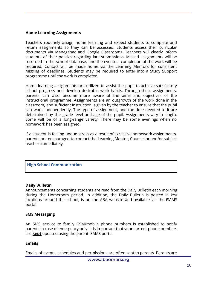#### **Home Learning Assignments**

Teachers routinely assign home learning and expect students to complete and return assignments so they can be assessed. Students access their curricular documents via Managebac and Google Classrooms. Teachers will clearly inform students of their policies regarding late submissions. Missed assignments will be recorded in the school database, and the eventual completion of the work will be required. Contact will be made home via the Learning Mentors for consistent missing of deadlines. Students may be required to enter into a Study Support programme until the work is completed.

Home learning assignments are utilized to assist the pupil to achieve satisfactory school progress and develop desirable work habits. Through these assignments, parents can also become more aware of the aims and objectives of the instructional programme. Assignments are an outgrowth of the work done in the classroom, and sufficient instruction is given by the teacher to ensure that the pupil can work independently. The type of assignment, and the time devoted to it are determined by the grade level and age of the pupil. Assignments vary in length. Some will be of a long-range variety. There may be some evenings when no homework has been assigned.

If a student is feeling undue stress as a result of excessive homework assignments, parents are encouraged to contact the Learning Mentor, Counsellor and/or subject teacher immediately.

#### **High School Communication**

#### **Daily Bulletin**

Announcements concerning students are read from the Daily Bulletin each morning during the Homeroom period. In addition, the Daily Bulletin is posted in key locations around the school, is on the ABA website and available via the iSAMS portal.

#### **SMS Messaging**

An SMS service to family GSM/mobile phone numbers is established to notify parents in case of emergency only. It is important that your current phone numbers are **kept** updated using the parent iSAMS portal.

#### **Emails**

Emails of events, schedules and permissions are often sent to parents. Parents are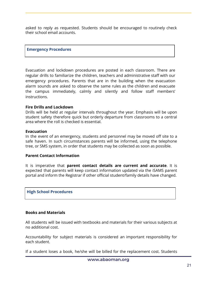asked to reply as requested. Students should be encouraged to routinely check their school email accounts.

#### **Emergency Procedures**

Evacuation and lockdown procedures are posted in each classroom. There are regular drills to familiarize the children, teachers and administrative staff with our emergency procedures. Parents that are in the building when the evacuation alarm sounds are asked to observe the same rules as the children and evacuate the campus immediately, calmly and silently and follow staff members' instructions.

#### **Fire Drills and Lockdown**

Drills will be held at regular intervals throughout the year. Emphasis will be upon student safety therefore quick but orderly departure from classrooms to a central area where the roll is checked is essential.

#### **Evacuation**

In the event of an emergency, students and personnel may be moved off site to a safe haven. In such circumstances parents will be informed, using the telephone tree, or SMS system, in order that students may be collected as soon as possible.

#### **Parent Contact Information**

It is imperative that **parent contact details are current and accurate**. It is expected that parents will keep contact information updated via the iSAMS parent portal and inform the Registrar if other official student/family details have changed.

#### **High School Procedures**

#### **Books and Materials**

All students will be issued with textbooks and materials for their various subjects at no additional cost.

Accountability for subject materials is considered an important responsibility for each student.

If a student loses a book, he/she will be billed for the replacement cost. Students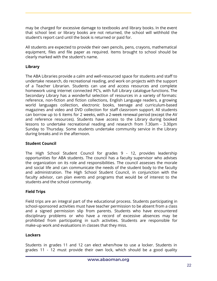may be charged for excessive damage to textbooks and library books. In the event that school text or library books are not returned, the school will withhold the student's report card until the book is returned or paid for.

All students are expected to provide their own pencils, pens, crayons, mathematical equipment, files and file paper as required. Items brought to school should be clearly marked with the student's name.

# **Library**

The ABA Libraries provide a calm and well-resourced space for students and staff to undertake research, do recreational reading, and work on projects with the support of a Teacher Librarian. Students can use and access resources and complete homework using internet connected PC's, with full Library catalogue functions. The Secondary Library has a wonderful selection of resources in a variety of formats: reference, non-fiction and fiction collections, English Language readers, a growing world languages collection, electronic books, teenage and curriculum-based magazines and video and DVD collection for staff classroom support. All students can borrow up to 6 items for 2 weeks, with a 2-week renewal period (except the AV and reference resources). Students have access to the Library during booked lessons to undertake recreational reading and research from 7.30am - 3.30pm Sunday to Thursday. Some students undertake community service in the Library during breaks and in the afternoon.

# **Student Council**

The High School Student Council for grades 9 - 12, provides leadership opportunities for ABA students. The council has a faculty supervisor who advises the organization on its role and responsibilities. The council assesses the morale and social life and can communicate the needs of the student body to the faculty and administration. The High School Student Council, in conjunction with the faculty advisor, can plan events and programs that would be of interest to the students and the school community.

# **Field Trips**

Field trips are an integral part of the educational process. Students participating in school-sponsored activities must have teacher permission to be absent from a class and a signed permission slip from parents. Students who have encountered disciplinary problems or who have a record of excessive absences may be prohibited from participating in such activities. Students are responsible for make-up work and evaluations in classes that they miss.

# **Lockers**

Students in grades 11 and 12 can elect when/how to use a locker. Students in grades 11 - 12 must provide their own lock, which should be a good quality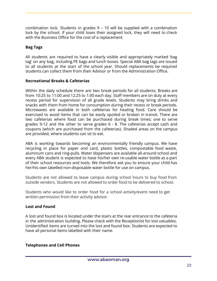combination lock. Students in grades 9 – 10 will be supplied with a combination lock by the school. If your child loses their assigned lock, they will need to check with the Business Office for the cost of a replacement.

## **Bag Tags**

All students are required to have a clearly visible and appropriately marked 'bag tag' on any bag, including PE bags and lunch boxes. Special ABA bag tags are issued to all students at the start of the school year. Should replacements be required students can collect them from their Advisor or from the Administration Office.

#### **Recreational Breaks & Cafeterias**

Within the daily schedule there are two break periods for all students. Breaks are from 10:25 to 11:00 and 12:25 to 1:00 each day. Staff members are on duty at every recess period for supervision of all grade levels. Students may bring drinks and snacks with them from home for consumption during their recess or break periods. Microwaves are available in both cafeterias for heating food. Care should be exercised to avoid items that can be easily spoiled or broken in transit. There are two cafeterias where food can be purchased during break times; one to serve grades 9-12 and the other to serve grades 6 - 8. The cafeterias accept cash and coupons (which are purchased from the cafeterias). Shaded areas on the campus are provided, where students can sit to eat.

ABA is working towards becoming an environmentally friendly campus. We have recycling in place for paper and card, plastic bottles, compostable food waste, aluminum cans and ring-pulls. Water dispensers are available all-around school and every ABA student is expected to have his/her own re-usable water bottle as a part of their school resources and tools. We therefore ask you to ensure your child has her/his own labelled non-disposable water bottle for use on campus.

Students are not allowed to leave campus during school hours to buy food from outside vendors. Students are not allowed to order food to be delivered to school.

Students who would like to order food for a school activity/event need to get written permission from their activity advisor.

#### **Lost and Found**

A lost and found box is located under the stairs at the rear entrance to the cafeteria in the administration building. Please check with the Receptionist for lost valuables. Unidentified items are turned into the lost and found box. Students are expected to have all personal items labelled with their name.

#### **Telephones and Cell Phones**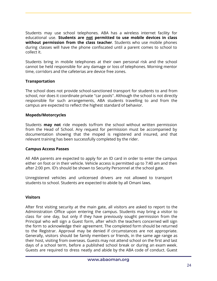Students may use school telephones. ABA has a wireless internet facility for educational use. **Students are not permitted to use mobile devices in class without permission from the class teacher**. Students who use mobile phones during classes will have the phone confiscated until a parent comes to school to collect it.

Students bring in mobile telephones at their own personal risk and the school cannot be held responsible for any damage or loss of telephones. Morning mentor time, corridors and the cafeterias are device free zones.

#### **Transportation**

The school does not provide school-sanctioned transport for students to and from school, nor does it coordinate private "car pools". Although the school is not directly responsible for such arrangements, ABA students travelling to and from the campus are expected to reflect the highest standard of behavior.

#### **Mopeds/Motorcycles**

Students **may not** ride mopeds to/from the school without written permission from the Head of School. Any request for permission must be accompanied by documentation showing that the moped is registered and insured, and that relevant training has been successfully completed by the rider.

#### **Campus Access Passes**

All ABA parents are expected to apply for an ID card in order to enter the campus either on foot or in their vehicle. Vehicle access is permitted up to 7:40 am and then after 2:00 pm. ID's should be shown to Security Personnel at the school gate.

Unregistered vehicles and unlicensed drivers are not allowed to transport students to school. Students are expected to abide by all Omani laws.

# **Visitors**

After first visiting security at the main gate, all visitors are asked to report to the Administration Office upon entering the campus. Students may bring a visitor to class for one day, but only if they have previously sought permission from the Principal who will sign a Guest form, after which the teachers concerned will sign the form to acknowledge their agreement. The completed form should be returned to the Registrar. Approval may be denied if circumstances are not appropriate. Generally, visitors should be family members or friends, in the same age range as their host, visiting from overseas. Guests may not attend school on the first and last days of a school term, before a published school break or during an exam week. Guests are required to dress neatly and abide by the ABA code of conduct. Guest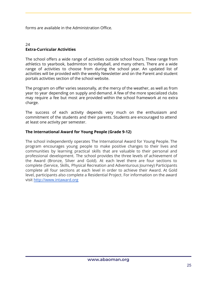forms are available in the Administration Office.

#### $24$ **Extra-Curricular Activities**

The school offers a wide range of activities outside school hours. These range from athletics to yearbook, badminton to volleyball, and many others. There are a wide range of activities to choose from during the school year. An updated list of activities will be provided with the weekly Newsletter and on the Parent and student portals activities section of the school website.

The program on offer varies seasonally, at the mercy of the weather, as well as from year to year depending on supply and demand. A few of the more specialized clubs may require a fee but most are provided within the school framework at no extra charge.

The success of each activity depends very much on the enthusiasm and commitment of the students and their parents. Students are encouraged to attend at least one activity per semester.

#### **The International Award for Young People (Grade 9-12)**

The school independently operates The International Award for Young People. The program encourages young people to make positive changes to their lives and communities by learning practical skills that are valuable to their personal and professional development. The school provides the three levels of achievement of the Award (Bronze, Silver and Gold). At each level there are four sections to complete (Service, Skills, Physical Recreation and Adventurous Journey) Participants complete all four sections at each level in order to achieve their Award. At Gold level, participants also complete a Residential Project. For information on the award visit http://www.intaward.org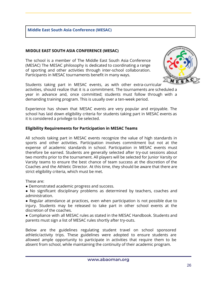#### **Middle East South Asia Conference (MESAC)**

#### **MIDDLE EAST SOUTH ASIA CONFERENCE (MESAC)**

The school is a member of The Middle East South Asia Conference (MESAC) The MESAC philosophy is dedicated to coordinating a range of sporting and other activities through inter-school collaboration. Participants in MESAC tournaments benefit in many ways.



Students taking part in MESAC events, as with other extra-curricular activities, should realize that it is a commitment. The tournaments are scheduled a year in advance and, once committed; students must follow through with a demanding training program. This is usually over a ten-week period.

Experience has shown that MESAC events are very popular and enjoyable. The school has laid down eligibility criteria for students taking part in MESAC events as it is considered a privilege to be selected.

#### **Eligibility Requirements for Participation in MESAC Teams**

All schools taking part in MESAC events recognize the value of high standards in sports and other activities. Participation involves commitment but not at the expense of academic standards in school. Participation in MESAC events must therefore be earned. Students are generally selected after try-out sessions about two months prior to the tournament. All players will be selected for Junior Varsity or Varsity teams to ensure the best chance of team success at the discretion of the Coaches and the Athletic Director. At this time, they should be aware that there are strict eligibility criteria, which must be met.

These are:

- Demonstrated academic progress and success.
- No significant disciplinary problems as determined by teachers, coaches and administration.

● Regular attendance at practices, even when participation is not possible due to injury. Students may be released to take part in other school events at the discretion of the coaches.

● Compliance with all MESAC rules as stated in the MESAC Handbook. Students and parents must sign a list of MESAC rules shortly after try-outs.

Below are the guidelines regulating student travel on school sponsored athletic/activity trips. These guidelines were adopted to ensure students are allowed ample opportunity to participate in activities that require them to be absent from school, while maintaining the continuity of their academic program.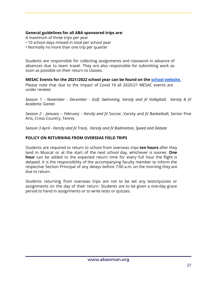## **General guidelines for all ABA sponsored trips are:**

A maximum of three trips per year

- 10 school days missed in total per school year
- Normally no more than one trip per quarter

Students are responsible for collecting assignments and classwork in advance of absences due to team travel. They are also responsible for submitting work as soon as possible on their return to classes.

#### **MESAC Events for the 2021/2022 school year can be found on the school [website.](https://www.abaoman.org/community/calendar)**

Please note that due to the impact of Covid 19 all 2020/21 MESAC events are under review)

*Season 1 - November - December - Golf, Swimming, Varsity and JV Volleyball, Varsity & JV Academic Games*

*Season 2 - January – February - Varsity and* JV Soccer, Varsity and JV Basketball, Senior Fine Arts, Cross Country, Tennis

*Season 3 April - Varsity and JV Track, Varsity and JV Badminton, Speed and Debate*

#### **POLICY ON RETURNING FROM OVERSEAS FIELD TRIPS**

Students are required to return to school from overseas trips **ten hours** after they land in Muscat or at the start of the next school day, whichever is sooner. **One hour** can be added to the expected return time for every full hour the flight is delayed. It is the responsibility of the accompanying faculty member to inform the respective Section Principal of any delays before 7:00 a.m. on the morning they are due to return.

Students returning from overseas trips are not to be set any tests/quizzes or assignments on the day of their return. Students are to be given a one-day grace period to hand in assignments or to write tests or quizzes.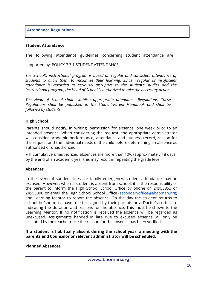#### **Attendance Regulations**

#### **Student Attendance**

The following attendance guidelines concerning student attendance are

supported by: POLICY 7.3.1 STUDENT ATTENDANCE

*The School's instructional program is based on regular and consistent attendance of students to allow them to maximize their learning. Since irregular or insufficient attendance is regarded as seriously disruptive to the student's studies and the instructional program, the Head of School is authorized to take the necessary action.*

*The Head of School shall establish appropriate attendance Regulations. These Regulations shall be published in the Student-Parent Handbook and shall be followed by students.*

#### **High School**

Parents should notify, in writing, permission for absence, one week prior to an intended absence. When considering the request, the appropriate administrator will consider academic performance, attendance and lateness record, reason for the request and the individual needs of the child before determining an absence as authorized or unauthorized.

● If cumulative unauthorized absences are more than 10% (approximately 18 days) by the end of an academic year this may result in repeating the grade level

#### **Absences**

In the event of sudden illness or family emergency, student attendance may be excused. However, when a student is absent from school, it is the responsibility of the parent to inform the High School School Office by phone on 24955853 or 24955800 or email the High School School Office (secondaryoffice@abaoman.org) and Learning Mentor to report the absence. On the day the student returns to school he/she must have a letter signed by their parents or a Doctor's certificate indicating the duration and reasons for the absence. This must be shown to the Learning Mentor. If no notification is received the absence will be regarded as unexcused. Assignments handed in late due to excused absence will only be accepted by the teacher once the reason for the absence has been verified.

#### **If a student is habitually absent during the school year, a meeting with the parents and Counselor or relevant administrator will be scheduled.**

#### **Planned Absences**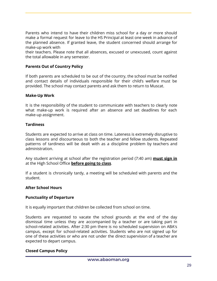Parents who intend to have their children miss school for a day or more should make a formal request for leave to the HS Principal at least one week in advance of the planned absence. If granted leave, the student concerned should arrange for make-up work with

their teachers. Please note that all absences, excused or unexcused, count against the total allowable in any semester.

# **Parents Out of Country Policy**

If both parents are scheduled to be out of the country, the school must be notified and contact details of individuals responsible for their child's welfare must be provided. The school may contact parents and ask them to return to Muscat.

#### **Make-Up Work**

It is the responsibility of the student to communicate with teachers to clearly note what make-up work is required after an absence and set deadlines for each make-up assignment.

#### **Tardiness**

Students are expected to arrive at class on time. Lateness is extremely disruptive to class lessons and discourteous to both the teacher and fellow students. Repeated patterns of tardiness will be dealt with as a discipline problem by teachers and administration.

Any student arriving at school after the registration period (7:40 am) **must sign in** at the High School Office **before going to class**.

If a student is chronically tardy, a meeting will be scheduled with parents and the student.

#### **After School Hours**

#### **Punctuality of Departure**

It is equally important that children be collected from school on time.

Students are requested to vacate the school grounds at the end of the day dismissal time unless they are accompanied by a teacher or are taking part in school-related activities. After 2:30 pm there is no scheduled supervision on ABA's campus, except for school-related activities. Students who are not signed up for one of these activities or who are not under the direct supervision of a teacher are expected to depart campus.

#### **Closed Campus Policy**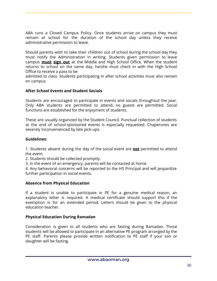ABA runs a Closed Campus Policy. Once students arrive on campus they must remain at school for the duration of the school day unless they receive administrative permission to leave.

Should parents wish to take their children out of school during the school day they must notify the Administration in writing. Students given permission to leave campus **must sign out** at the Middle and High School Office. When the student returns to school on the same day, he/she must check in with the High School Office to receive a pass to be

admitted to class. Students participating in after school activities must also remain on campus.

#### **After School Events and Student Socials**

Students are encouraged to participate in events and socials throughout the year. Only ABA students are permitted to attend, no guests are permitted. Social functions are established for the enjoyment of students.

These are usually organized by the Student Council. Punctual collection of students at the end of school-sponsored events is especially requested. Chaperones are severely inconvenienced by late pick-ups.

#### **Guidelines:**

1. Students absent during the day of the social event are **not** permitted to attend the event.

- 2. Students should be collected promptly.
- 3. In the event of an emergency, parents will be contacted at home.
- 4. Any behavioral concerns will be reported to the HS Principal and will jeopardize further participation in social events.

## **Absence from Physical Education**

If a student is unable to participate in PE for a genuine medical reason, an explanatory letter is required. A medical certificate should support this if the exemption is for an extended period. Letters should be given to the physical education teacher.

#### **Physical Education During Ramadan**

Consideration is given to all students who are fasting during Ramadan. Those students will be allowed to participate in an alternative PE program arranged by the PE staff. Parents please provide written notification to PE staff if your son or daughter will be fasting.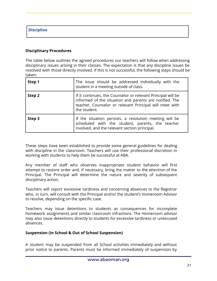**Discipline**

## **Disciplinary Procedures**

The table below outlines the agreed procedures our teachers will follow when addressing disciplinary issues arising in their classes. The expectation is that any discipline issues be resolved with those directly involved. If this is not successful, the following steps should be taken:

| Step 1 | The issue should be addressed individually with the<br>student in a meeting outside of class.                                                                                                      |
|--------|----------------------------------------------------------------------------------------------------------------------------------------------------------------------------------------------------|
| Step 2 | If it continues, the Counselor or relevant Principal will be<br>informed of the situation and parents are notified. The<br>teacher, Counselor or relevant Principal will meet with<br>the student. |
| Step 3 | If the situation persists, a resolution meeting will be<br>scheduled with the student, parents, the teacher<br>involved, and the relevant section principal.                                       |

These steps have been established to provide some general guidelines for dealing with discipline in the classroom. Teachers will use their professional discretion in working with students to help them be successful at ABA.

Any member of staff who observes inappropriate student behavior will first attempt to restore order and, if necessary, bring the matter to the attention of the Principal. The Principal will determine the nature and severity of subsequent disciplinary action.

Teachers will report excessive tardiness and concerning absences to the Registrar who, in turn, will consult with the Principal and/or the student's Homeroom Advisor to resolve, depending on the specific case.

Teachers may issue detentions to students as consequences for incomplete homework assignments and similar classroom infractions. The Homeroom advisor may also issue detentions directly to students for excessive tardiness or unexcused absences.

#### **Suspension (In School & Out of School Suspension)**

A student may be suspended from all School activities immediately and without prior notice to parents. Parents must be informed immediately of suspension by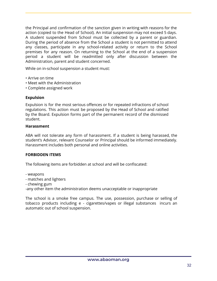the Principal and confirmation of the sanction given in writing with reasons for the action (copied to the Head of School). An initial suspension may not exceed 5 days. A student suspended from School must be collected by a parent or guardian. During the period of absence from the School a student is not permitted to attend any classes, participate in any school-related activity or return to the School premises for any reason. On returning to the School at the end of a suspension period a student will be readmitted only after discussion between the Administration, parent and student concerned.

While on in-school suspension a student must:

- Arrive on time
- Meet with the Administration
- Complete assigned work

#### **Expulsion**

Expulsion is for the most serious offences or for repeated infractions of school regulations. This action must be proposed by the Head of School and ratified by the Board. Expulsion forms part of the permanent record of the dismissed student.

#### **Harassment**

ABA will not tolerate any form of harassment. If a student is being harassed, the student's Advisor, relevant Counselor or Principal should be informed immediately. Harassment includes both personal and online activities.

#### **FORBIDDEN ITEMS**

The following items are forbidden at school and will be confiscated:

- weapons
- matches and lighters
- chewing gum

-any other item the administration deems unacceptable or inappropriate

The school is a smoke free campus. The use, possession, purchase or selling of tobacco products including e - cigarettes/vapes or illegal substances incurs an automatic out of school suspension.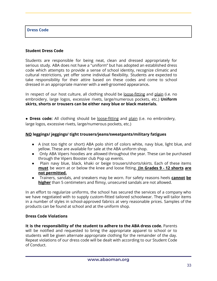#### **Dress Code**

#### **Student Dress Code**

Students are responsible for being neat, clean and dressed appropriately for serious study. ABA does not have a "uniform" but has adopted an established dress code which attempts to provide a sense of school identity, recognize climatic and cultural restrictions, yet offer some individual flexibility. Students are expected to take responsibility for their attire based on these codes and come to school dressed in an appropriate manner with a well-groomed appearance**.**

In respect of our host culture, all clothing should be <u>loose-fitting</u> and plain (i.e. no embroidery, large logos, excessive rivets, large/numerous pockets, etc.) **Uniform skirts, shorts or trousers can be either navy blue or black materials.**

● **Dress code:** All clothing should be loose-fitting and plain (i.e. no embroidery, large logos, excessive rivets, large/numerous pockets, etc.)

#### **NO leggings/ jeggings/ tight trousers/jeans/sweatpants/military fatigues**

- A (not too tight or short) ABA polo shirt of colors white, navy blue, light blue, and yellow. These are available for sale at the ABA uniform shop.
- Only ABA Vipers hoodies are allowed throughout the year. These can be purchased through the Vipers Booster club Pop up events.
- Plain navy blue, black, khaki or beige trousers/shorts/skirts. Each of these items **must** be worn at or below the knee and loose fitting. **(In Grades 9 - 12 shorts are not permitted.**
- Trainers, sandals, and sneakers may be worn. For safety reasons heels **cannot be higher** than 5 centimeters and flimsy, unsecured sandals are not allowed.

In an effort to regularize uniforms, the school has secured the services of a company who we have negotiated with to supply custom-fitted tailored schoolwear. They will tailor items in a number of styles in school-approved fabrics at very reasonable prices. Samples of the products can be found at school and at the uniform shop.

#### **Dress Code Violations**

**It is the responsibility of the student to adhere to the ABA dress code.** Parents will be notified and requested to bring the appropriate apparel to school or to students will be given alternate appropriate clothing for the remainder of the day. Repeat violations of our dress code will be dealt with according to our Student Code of Conduct.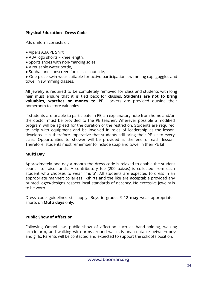# **Physical Education - Dress Code**

P.E. uniform consists of:

- Vipers ABA PE Shirt,
- ABA logo shorts knee length,
- Sports shoes with non-marking soles,
- A reusable water bottle,
- Sunhat and sunscreen for classes outside,

● One-piece swimwear suitable for active participation, swimming cap, goggles and towel in swimming classes.

All jewelry is required to be completely removed for class and students with long hair must ensure that it is tied back for classes. **Students are not to bring valuables, watches or money to PE**. Lockers are provided outside their homeroom to store valuables.

If students are unable to participate in PE, an explanatory note from home and/or the doctor must be provided to the PE teacher. Wherever possible a modified program will be agreed for the duration of the restriction. Students are required to help with equipment and be involved in roles of leadership as the lesson develops. It is therefore imperative that students still bring their PE kit to every class. Opportunities to shower will be provided at the end of each lesson. Therefore, students must remember to include soap and towel in their PE kit.

# **Mufti Day**

Approximately one day a month the dress code is relaxed to enable the student council to raise funds. A contributory fee (200 baizas) is collected from each student who chooses to wear "mufti". All students are expected to dress in an appropriate manner; collarless T-shirts and the like are acceptable provided any printed logos/designs respect local standards of decency. No excessive jewelry is to be worn.

Dress code guidelines still apply. Boys in grades 9-12 **may** wear appropriate shorts on **Mufti days** only.

#### **Public Show of Affection**

Following Omani law, public show of affection such as hand-holding, walking arm-in-arm, and walking with arms around waists is unacceptable between boys and girls. Parents will be contacted and expected to support the school's position.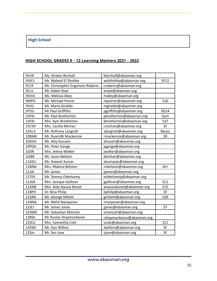# **High School**

# **HIGH SCHOOL GRADES 9 – 12 Learning Mentors 2021 – 2022**

| 9KAB  | Ms. Kirsten Birchall             | kbirchall@abaoman.org     |             |
|-------|----------------------------------|---------------------------|-------------|
| 9WES  | Mr. Waleed El Shohba             | welshohba@abaoman.org     | <b>SF12</b> |
| 9CER  | Mr. Christopher Engstrom-Roberts | croberts@abaoman.org      |             |
| 9Ena  | Mr. Edwin Nast                   | enast@abaoman.org         |             |
| 9MAK  | Ms. Melissa Akey                 | makey@abaoman.org         |             |
| 9MPO  | Mr. Michael Poirier              | mpoirier@abaoman.org      | <b>S16</b>  |
| 9MGi  | Mr. Mario Giraldo                | mgiraldo@abaoman.org      |             |
| 9PDG  | Mr Paul Griffiths                | pgriffiths@abaoman.org    | <b>SG14</b> |
| 10PBr | Mr. Paul Brotherton              | pbrotherton@abaoman.org   | Gym         |
| 10KBr | Mrs. Kym Brotherton              | kbrotherton@abaoman.org   | S37         |
| 10CMi | Mrs. Cecilia Michan              | cmichan@abaoman.org       | SF          |
| 10ALA | Mr. Anthony Langrish             | alangrish@abaoman.org     | Music       |
| 10RMK | Mr. Ruairidh Mackenzie           | rmackenzie@abaoman.org    | S9          |
| 10AHU | Mr. Atiq Hussain                 | ahusain@abaoman.org       |             |
| 10PGA | Mr. Peter Gange                  | pgange@abaoman.org        |             |
| 10JW  | Mrs. Jelena Walker               | jwalker@abaoman.org       |             |
| 10JBE | Mr. Jason Belston                | jbelston@abaoman.org      |             |
| 11AKU | Mr. Aneesh Kumar                 | akumarpc@abaoman.org      |             |
| 11MBe | Mrs. Malena Belston              | mbelston@abaoman.org      | Art         |
| 11JJA | Mr. James                        | jjames@abaoman.org        |             |
| 11TEK | Mr. Tommy Elderkamp              | telderkamp@abaoman.org    |             |
| 11JGA | Mrs. Janique Gallivan            | jgallivan@abaoman.org     | S11         |
| 11ANB | Mrs. Aida Nausia Bonet           | anausiabonet@abaoman.org  | <b>S15</b>  |
| 11BPH | Dr. Bina Philip                  | bphilip@abaoman.org       | SF          |
| 11GMi | Mr. George Miletti               | gmiletti@abaoman.org      | S39         |
| 12NNA | Mr. Nikhil Narayanan             | nnaryanan@abaoman.org     |             |
| 12JEJ | Mr. James Jones                  | jjones@abaoman.org        | S7          |
| 12SMO | Mr. Sebastian Monclar            | smoncalr@abaoman.org      |             |
| 12RSh | Mr Ruslan Shaymardanov           | rshaymardanov@abaoman.org |             |
| 12SCo | Mrs. Samantha Cole               | scole@abaoman.org         | S11         |
| 12DWi | Mr. Dan Willms                   | dwillms@abaoman.org       | SF          |
| 12SJo | Mr. Sen Jose                     | sjose@abaoman.org         | SF          |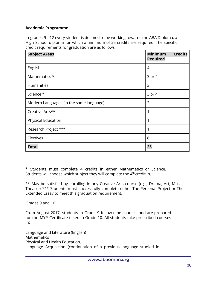## **Academic Programme**

In grades 9 - 12 every student is deemed to be working towards the ABA Diploma, a High School diploma for which a minimum of 25 credits are required. The specific credit requirements for graduation are as follows:

| <b>Subject Areas</b>                    | <b>Minimum</b><br><b>Credits</b><br><b>Required</b> |
|-----------------------------------------|-----------------------------------------------------|
| English                                 | 4                                                   |
| Mathematics *                           | 3 or 4                                              |
| <b>Humanities</b>                       | 3                                                   |
| Science *                               | 3 or 4                                              |
| Modern Languages (in the same language) | $\overline{2}$                                      |
| Creative Arts**                         | 1                                                   |
| Physical Education                      | 1                                                   |
| Research Project ***                    | 1                                                   |
| Electives                               | 6                                                   |
| <b>Total</b>                            | 25                                                  |

\* Students must complete 4 credits in either Mathematics or Science. Students will choose which subject they will complete the 4<sup>th</sup> credit in.

\*\* May be satisfied by enrolling in any Creative Arts course (e.g., Drama, Art, Music, Theatre) \*\*\* Students must successfully complete either The Personal Project or The Extended Essay to meet this graduation requirement.

#### Grades 9 and 10

From August 2017, students in Grade 9 follow nine courses, and are prepared for the MYP Certificate taken in Grade 10. All students take prescribed courses in:

Language and Literature (English) Mathematics Physical and Health Education. Language Acquisition (continuation of a previous language studied in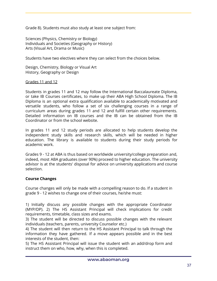Grade 8). Students must also study at least one subject from:

Sciences (Physics, Chemistry or Biology) Individuals and Societies (Geography or History) Arts (Visual Art, Drama or Music)

Students have two electives where they can select from the choices below.

Design, Chemistry, Biology or Visual Art History, Geography or Design

#### Grades 11 and 12

Students in grades 11 and 12 may follow the International Baccalaureate Diploma, or take IB Courses certificates, to make up their ABA High School Diploma. The IB Diploma is an optional extra qualification available to academically motivated and versatile students, who follow a set of six challenging courses in a range of curriculum areas during grades 11 and 12 and fulfill certain other requirements. Detailed information on IB courses and the IB can be obtained from the IB Coordinator or from the school website.

In grades 11 and 12 study periods are allocated to help students develop the independent study skills and research skills, which will be needed in higher education. The library is available to students during their study periods for academic work.

Grades 9 - 12 at ABA is thus based on worldwide university/college preparation and, indeed, most ABA graduates (over 90%) proceed to higher education. The university advisor is at the students' disposal for advice on university applications and course selection.

#### **Course Changes**

Course changes will only be made with a compelling reason to do. If a student in grade 9 - 12 wishes to change one of their courses, he/she must:

1) Initially discuss any possible changes with the appropriate Coordinator (MYP/DP). 2) The HS Assistant Principal will check implications for credit requirements, timetable, class sizes and exams.

3) The student will be directed to discuss possible changes with the relevant individuals (teachers, parents, university Counselor etc.)

4) The student will then return to the HS Assistant Principal to talk through the information they have gathered. If a move appears possible and in the best interests of the student, then:

5) The HS Assistant Principal will issue the student with an add/drop form and instruct them on who, how, why, when this is completed.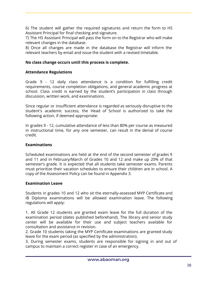6) The student will gather the required signatures and return the form to HS Assistant Principal for final checking and signature.

7) The HS Assistant Principal will pass the form on to the Registrar who will make relevant changes in the database.

8) Once all changes are made in the database the Registrar will inform the relevant teachers by email and issue the student with a revised timetable.

# **No class change occurs until this process is complete.**

# **Attendance Regulations**

Grade 9 - 12 daily class attendance is a condition for fulfilling credit requirements, course completion obligations, and general academic progress at school. Class credit is earned by the student's participation in class through discussion, written work, and examinations.

Since regular or insufficient attendance is regarded as seriously disruptive to the student's academic success, the Head of School is authorized to take the following action, if deemed appropriate:

In grades 9 - 12, cumulative attendance of less than 80% per course as measured in instructional time, for any one semester, can result in the denial of course credit.

# **Examinations**

Scheduled examinations are held at the end of the second semester of grades 9 and 11 and in February/March of Grades 10 and 12 and make up 20% of that semester's grade. It is expected that all students take semester exams. Parents must prioritize their vacation schedules to ensure their children are in school. A copy of the Assessment Policy can be found in Appendix 3.

# **Examination Leave**

Students in grades 10 and 12 who sit the eternally-assessed MYP Certificate and IB Diploma examinations will be allowed examination leave. The following regulations will apply:

1. All Grade 12 students are granted exam leave for the full duration of the examination period (dates published beforehand). The library and senior study center will be available for their use and subject teachers available for consultation and assistance in revision.

2. Grade 10 students taking the MYP Certificate examinations are granted study leave for the exam period (as specified by the administration).

3. During semester exams, students are responsible for signing in and out of campus to maintain a correct register in case of an emergency.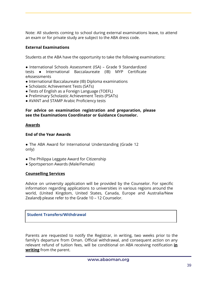Note: All students coming to school during external examinations leave, to attend an exam or for private study are subject to the ABA dress code.

# **External Examinations**

Students at the ABA have the opportunity to take the following examinations:

● International Schools Assessment (ISA) – Grade 9 Standardized

tests ● International Baccalaureate (IB) MYP Certificate eAssessments

- International Baccalaureate (IB) Diploma examinations
- Scholastic Achievement Tests (SATs)
- Tests of English as a Foreign Language (TOEFL)
- Preliminary Scholastic Achievement Tests (PSATs)
- AVANT and STAMP Arabic Proficiency tests

#### **For advice on examination registration and preparation, please see the Examinations Coordinator or Guidance Counselor.**

#### **Awards**

#### **End of the Year Awards**

• The ABA Award for International Understanding (Grade 12 only)

- The Philippa Leggate Award for Citizenship
- Sportsperson Awards (Male/Female)

#### **Counselling Services**

Advice on university application will be provided by the Counselor. For specific information regarding applications to universities in various regions around the world, (United Kingdom, United States, Canada, Europe and Australia/New Zealand**)** please refer to the Grade 10 – 12 Counselor.

# **Student Transfers/Withdrawal**

Parents are requested to notify the Registrar, in writing, two weeks prior to the family's departure from Oman. Official withdrawal, and consequent action on any relevant refund of tuition fees, will be conditional on ABA receiving notification **in writing** from the parent.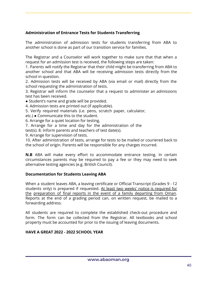# **Administration of Entrance Tests for Students Transferring**

The administration of admission tests for students transferring from ABA to another school is done as part of our transition service for families.

The Registrar and a Counselor will work together to make sure that that when a request for an admission test is received, the following steps are taken:

1. Parents will notify the Registrar that their child might be transferring from ABA to another school and that ABA will be receiving admission tests directly from the school in question.

2. Admission tests will be received by ABA (via email or mail) directly from the school requesting the administration of tests.

3. Registrar will inform the counselor that a request to administer an admissions test has been received.

• Student's name and grade will be provided.

4. Admission tests are printed out (if applicable).

5. Verify required materials (i.e. pens, scratch paper, calculator,

etc.) ● Communicate this to the student.

6. Arrange for a quiet location for testing.

7. Arrange for a time and day for the administration of the

test(s). 8. Inform parents and teachers of test date(s).

9. Arrange for supervision of tests.

10. After administration of tests, arrange for tests to be mailed or couriered back to the school of origin. Parents will be responsible for any charges incurred.

**N.B** ABA will make every effort to accommodate entrance testing. In certain circumstances parents may be required to pay a fee or they may need to seek alternative testing agencies (e.g. British Council).

#### **Documentation for Students Leaving ABA**

When a student leaves ABA, a leaving certificate or Official Transcript (Grades 9 - 12 students only) is prepared if requested. At least two weeks' notice is required for the preparation of final reports in the event of a family departing from Oman. Reports at the end of a grading period can, on written request, be mailed to a forwarding address.

All students are required to complete the established check-out procedure and form. The form can be collected from the Registrar. All textbooks and school property must be accounted for prior to the issuing of leaving documents.

#### **HAVE A GREAT 2022 - 2022 SCHOOL YEAR**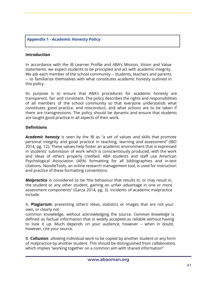# **Appendix 1 - Academic Honesty Policy**

#### **Introduction**

In accordance with the IB Learner Profile and ABA's Mission, Vision and Value statements, we expect students to be principled and act with academic integrity. We ask each member of the school community -- students, teachers and parents -- to familiarize themselves with what constitutes academic honesty outlined in this policy.

Its purpose is to ensure that ABA's procedures for academic honesty are transparent, fair and consistent. The policy describes the rights and responsibilities of all members of the school community so that everyone understands what constitutes good practice, and misconduct, and what actions are to be taken if there are transgressions. The policy should be dynamic and ensure that students are taught good practice in all aspects of their work.

#### **Definitions**

*Academic honesty* is seen by the IB as "a set of values and skills that promote personal integrity and good practice in teaching, learning and assessment" (IBO 2014, pg. 12). These values help foster an academic environment that is expressed in students' submission of work which is conscientiously produced, with the work and ideas of others properly credited. ABA students and staff use American Psychological Association (APA) formatting for all bibliographies and in-text citations. NoodleTools, an online research management tool, is used for instruction and practice of these formatting conventions.

*Malpractice* is considered to be "the behaviour that results in, or may result in, the student or any other student, gaining an unfair advantage in one or more assessment components" (Garza 2014, pg. 3). Incidents of academic malpractice include:

A. **Plagiarism:** presenting others' ideas, statistics or images that are not your own, or clearly not

common knowledge, without acknowledging the source. *Common knowledge* is defined as factual information that is widely accepted as reliable without having to look it up. Much depends on your audience, however -- when in doubt, however, cite your source.

B. **Collusion**: allowing individual work to be copied by another student or any form of malpractice by another student. This should be distinguished from *collaboration,* which implies "working together on a common aim with shared information".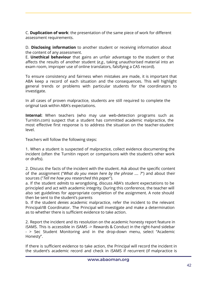C. **Duplication of work**: the presentation of the same piece of work for different assessment requirements.

D. **Disclosing information** to another student or receiving information about the content of any assessment.

E. **Unethical behaviour** that gains an unfair advantage to the student or that affects the results of another student (*e.g.*, taking unauthorised material into an exam room, improper use of online translators, falsifying a CAS record).

To ensure consistency and fairness when mistakes are made, it is important that ABA keep a record of each situation and the consequences. This will highlight general trends or problems with particular students for the coordinators to investigate.

In all cases of proven malpractice, students are still required to complete the original task within ABA's expectations.

**Internal:** When teachers (who may use web-detection programs such as Turnitin.com) suspect that a student has committed academic malpractice, the most effective first response is to address the situation on the teacher-student level.

Teachers will follow the following steps:

1. When a student is suspected of malpractice, collect evidence documenting the incident (often the Turnitin report or comparisons with the student's other work or drafts).

2. Discuss the facts of the incident with the student. Ask about the specific content of the assignment ("*What do you mean here by the phrase .... ?*") and about their sources ("*Tell me how you researched this paper*").

a. If the student *admits* to wrongdoing, discuss ABA's student expectations to be principled and act with academic integrity. During this conference, the teacher will also set guidelines for appropriate completion of the assignment. A note should then be sent to the student's parents

b. If the student *denies* academic malpractice, refer the incident to the relevant Principal/IB Coordinator. The Principal will investigate and make a determination as to whether there is sufficient evidence to take action.

2. Report the incident and its resolution on the academic honesty report feature in iSAMS. This is accessible in iSAMS -> Rewards & Conduct in the right-hand sidebar - > Sec Student Monitoring and in the drop-down menu, select "Academic Honesty".

If there is sufficient evidence to take action, the Principal will record the incident in the student's academic record and check in iSAMS if recurrent (if malpractice is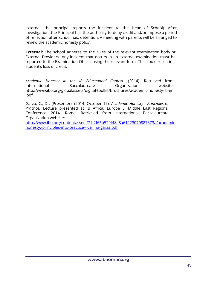external, the principal reports the incident to the Head of School). After investigation, the Principal has the authority to deny credit and/or impose a period of reflection after school, i.e., detention. A meeting with parents will be arranged to review the academic honesty policy.

**External:** The school adheres to the rules of the relevant examination body or External Providers. Any incident that occurs in an external examination must be reported to the Examination Officer using the relevant form. This could result in a student's loss of credit.

*Academic Honesty in the IB Educational Context*. (2014). Retrieved from International Baccalaureate Organization website: http://www.ibo.org/globalassets/digital-toolkit/brochures/academic-honesty-ib-en .pdf

Garza, C., Dr. (Presenter). (2014, October 17). *Academic Honesty - Principles to Practice*. Lecture presented at IB Africa, Europe & Middle East Regional Conference 2014, Rome. Retrieved from International Baccalaureate Organization website:

http://www.ibo.org/contentassets/71f2f66b529f48a8a61223070887373a/academic honesty.-principles-into-practice---celi na-garza.pdf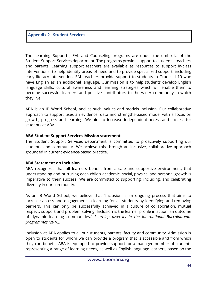#### **Appendix 2 - Student Services**

The Learning Support , EAL and Counseling programs are under the umbrella of the Student Support Services department. The programs provide support to students, teachers and parents. Learning support teachers are available as resources to support in-class interventions, to help identify areas of need and to provide specialized support, including early literacy intervention. EAL teachers provide support to students in Grades 1-10 who have English as an additional language. Our mission is to help students develop English language skills, cultural awareness and learning strategies which will enable them to become successful learners and positive contributors to the wider community in which they live.

ABA is an IB World School, and as such, values and models inclusion. Our collaborative approach to support uses an evidence, data and strengths-based model with a focus on growth, progress and learning. We aim to increase independent access and success for students at ABA.

#### **ABA Student Support Services Mission statement**

The Student Support Services department is committed to proactively supporting our students and community. We achieve this through an inclusive, collaborative approach grounded in current evidence-based practice.

# **ABA Statement on Inclusion**

ABA recognizes that all learners benefit from a safe and supportive environment; that understanding and nurturing each child's academic, social, physical and personal growth is imperative to their success. We are committed to supporting, including, and celebrating diversity in our community.

As an IB World School, we believe that "Inclusion is an ongoing process that aims to increase access and engagement in learning for all students by identifying and removing barriers. This can only be successfully achieved in a culture of collaboration, mutual respect, support and problem solving. Inclusion is the learner profile in action, an outcome of dynamic learning communities." *Learning diversity in the International Baccalaureate programmes (2010).*

Inclusion at ABA applies to all our students, parents, faculty and community. Admission is open to students for whom we can provide a program that is accessible and from which they can benefit. ABA is equipped to provide support for a managed number of students representing a range of learning needs, as well as English language learners, based on the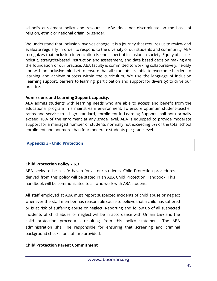school's enrollment policy and resources. ABA does not discriminate on the basis of religion, ethnic or national origin, or gender.

We understand that inclusion involves change, it is a journey that requires us to review and evaluate regularly in order to respond to the diversity of our students and community. ABA recognizes that inclusion in education is one aspect of inclusion in society. Equity of access holistic, strengths-based instruction and assessment, and data based decision making are the foundation of our practice. ABA faculty is committed to working collaboratively, flexibly and with an inclusive mindset to ensure that all students are able to overcome barriers to learning and achieve success within the curriculum. We use the language of inclusion (learning support, barriers to learning, participation and support for diversity) to drive our practice.

# **Admissions and Learning Support capacity:**

ABA admits students with learning needs who are able to access and benefit from the educational program in a mainstream environment. To ensure optimum student-teacher ratios and service to a high standard, enrollment in Learning Support shall not normally exceed 10% of the enrolment at any grade level. ABA is equipped to provide moderate support for a managed number of students normally not exceeding 5% of the total school enrollment and not more than four moderate students per grade level.

# **Appendix 3 - Child Protection**

# **Child Protection Policy 7.6.3**

ABA seeks to be a safe haven for all our students. Child Protection procedures derived from this policy will be stated in an ABA Child Protection Handbook. This handbook will be communicated to all who work with ABA students.

All staff employed at ABA must report suspected incidents of child abuse or neglect whenever the staff member has reasonable cause to believe that a child has suffered or is at risk of suffering abuse or neglect. Reporting and follow up of all suspected incidents of child abuse or neglect will be in accordance with Omani Law and the child protection procedures resulting from this policy statement. The ABA administration shall be responsible for ensuring that screening and criminal background checks for staff are provided.

# **Child Protection Parent Commitment**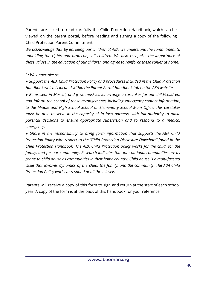Parents are asked to read carefully the Child Protection Handbook, which can be viewed on the parent portal, before reading and signing a copy of the following Child Protection Parent Commitment.

*We acknowledge that by enrolling our children at ABA, we understand the commitment to upholding the rights and protecting all children. We also recognize the importance of these values in the education of our children and agree to reinforce these values at home.*

#### *I / We undertake to:*

● *Support the ABA Child Protection Policy and procedures included in the Child Protection Handbook which is located within the Parent Portal Handbook tab on the ABA website.*

● *Be present in Muscat, and if we must leave, arrange a caretaker for our child/children, and inform the school of those arrangements, including emergency contact information, to the Middle and High School School or Elementary School Main Office. This caretaker must be able to serve in the capacity of in loco parentis, with full authority to make parental decisions to ensure appropriate supervision and to respond to a medical emergency.*

● *Share in the responsibility to bring forth information that supports the ABA Child Protection Policy with respect to the "Child Protection Disclosure Flowchart" found in the Child Protection Handbook. The ABA Child Protection policy works for the child, for the family, and for our community. Research indicates that international communities are as prone to child abuse as communities in their home country. Child abuse is a multi-faceted issue that involves dynamics of the child, the family, and the community. The ABA Child Protection Policy works to respond at all three levels.*

Parents will receive a copy of this form to sign and return at the start of each school year. A copy of the form is at the back of this handbook for your reference.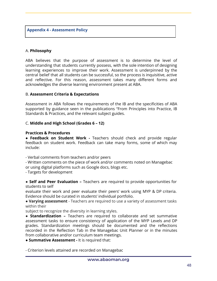**Appendix 4 - Assessment Policy**

#### A. **Philosophy**

ABA believes that the purpose of assessment is to determine the level of understanding that students currently possess, with the sole intention of designing learning experiences to improve their work. Assessment is underpinned by the central belief that all students can be successful, so the process is inquisitive, active and reflective. For this reason, assessment takes many different forms and acknowledges the diverse learning environment present at ABA.

#### B. **Assessment Criteria & Expectations**

Assessment in ABA follows the requirements of the IB and the specificities of ABA supported by guidance seen in the publications "From Principles into Practice, IB Standards & Practices, and the relevant subject guides.

#### C. **Middle and High School (Grades 6 – 12)**

#### **Practices & Procedures**

● **Feedback on Student Work -** Teachers should check and provide regular feedback on student work. Feedback can take many forms, some of which may include:

- Verbal comments from teachers and/or peers

- Written comments on the piece of work and/or comments noted on Managebac or using digital platforms such as Google docs, blogs etc.

- Targets for development

● **Self and Peer Evaluation –** Teachers are required to provide opportunities for students to self

evaluate their work and peer evaluate their peers' work using MYP & DP criteria. Evidence should be curated in students' individual portfolio.

● **Varying assessment** - Teachers are required to use a variety of assessment tasks within their

subject to recognize the diversity in learning styles.

● **Standardization –** Teachers are required to collaborate and set summative assessment tasks to ensure consistency of application of the MYP Levels and DP grades. Standardization meetings should be documented and the reflections recorded in the Reflection Tab in the Managebac Unit Planner or in the minutes from collaborative and/or curriculum team meetings.

● **Summative Assessment -** It is required that:

- Criterion levels attained are recorded on Managebac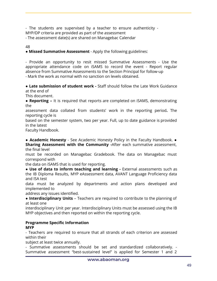- The students are supervised by a teacher to ensure authenticity - MYP/DP criteria are provided as part of the assessment

- The assessment date(s) are shared on Managebac Calendar

#### 48

# ● **Missed Summative Assessment** *-* Apply the following guidelines:

- Provide an opportunity to resit missed Summative Assessments - Use the appropriate attendance code on iSAMS to record the event - Report regular absence from Summative Assessments to the Section Principal for follow-up - Mark the work as normal with no sanction on levels obtained.

● **Late submission of student work -** Staff should follow the Late Work Guidance at the end of

This document.

● **Reporting –** It is required that reports are completed on iSAMS, demonstrating the

assessment data collated from students' work in the reporting period**.** The reporting cycle is

based on the semester system, two per year. Full, up to date guidance is provided in the latest

Faculty Handbook.

● **Academic Honesty** - See Academic Honesty Policy in the Faculty Handbook. ● **Sharing Assessment with the Community -**After each summative assessment, the final level

must be recorded on Managebac Gradebook. The data on Managebac must correspond with

the data on iSAMS that is used for reporting.

● **Use of data to inform teaching and learning -** External assessments such as the IB Diploma Results, MYP eAssessment data, AVANT Language Proficiency data and ISA test

data must be analyzed by departments and action plans developed and implemented to

address any issues identified.

● **Interdisciplinary Units** – Teachers are required to contribute to the planning of at least one

interdisciplinary Unit per year. Interdisciplinary Units must be assessed using the IB MYP objectives and then reported on within the reporting cycle.

#### **Programme Specific Information MYP**

- Teachers are required to ensure that all strands of each criterion are assessed within their

subject at least twice annually.

- Summative assessments should be set and standardized collaboratively. - Summative assessment "best-sustained level" is applied for Semester 1 and 2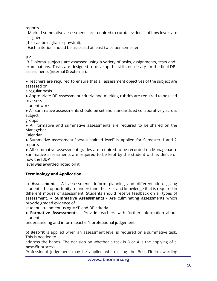reports

- Marked summative assessments are required to curate evidence of how levels are assigned

(this can be digital or physical).

- Each criterion should be assessed at least twice per semester.

# **DP**

IB Diploma subjects are assessed using a variety of tasks, assignments, tests and examinations. Tasks are designed to develop the skills necessary for the final DP assessments (internal & external).

● Teachers are required to ensure that all assessment objectives of the subject are assessed on

a regular basis

● Appropriate DP Assessment criteria and marking rubrics are required to be used to assess

student work

● All summative assessments should be set and standardized collaboratively across subject

groups

● All formative and summative assessments are required to be shared on the Managebac

Calendar

● Summative assessment "best-sustained level" is applied for Semester 1 and 2 reports

• All summative assessment grades are required to be recorded on Managebac • Summative assessments are required to be kept by the student with evidence of how the IBDP

level was awarded noted on it

# **Terminology and Application**

a) **Assessment -** All assessments inform planning and differentiation, giving students the opportunity to understand the skills and knowledge that is required in different modes of assessment. Students should receive feedback on all types of assessment. ● **Summative Assessments** - Are culminating assessments which provide graded evidence of

student attainment using MYP and DP criteria.

**● Formative Assessments -** Provide teachers with further information about student

understanding and inform teacher's professional judgement.

b) **Best-fit** is applied when an assessment level is required on a summative task. This is needed to

address the bands. The decision on whether a task is 3 or 4 is the applying of a **best-fit** process.

Professional Judgement may be applied when using the Best Fit in awarding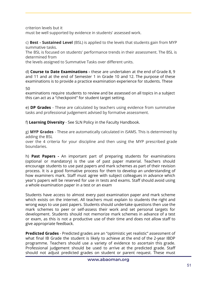criterion levels but it

must be well supported by evidence in students' assessed work.

c) **Best - Sustained Level** (BSL) is applied to the levels that students gain from MYP summative tasks.

The BSL is focused on students' performance trends in their assessment. The BSL is determined from

the levels assigned to Summative Tasks over different units.

d) **Course to Date Examinations -** these are undertaken at the end of Grade 8, 9 and 11 and at the end of Semester 1 in Grade 10 and 12. The purpose of these examinations is to provide a practice examination experience for students. These

50

examinations require students to review and be assessed on all topics in a subject this can act as a "checkpoint" for student target setting.

e) **DP Grades** - These are calculated by teachers using evidence from summative tasks and professional judgement advised by formative assessment.

f) **Learning Diversity** - See SLN Policy in the Faculty Handbook.

g) **MYP Grades** - These are automatically calculated in iSAMS. This is determined by adding the BSL

over the 4 criteria for your discipline and then using the MYP prescribed grade boundaries.

h) **Past Papers -** An important part of preparing students for examinations (optional or mandatory) is the use of past paper material. Teachers should encourage students to use past papers and mark schemes as part of their revision process. It is a good formative process for them to develop an understanding of how examiners mark. Staff must agree with subject colleagues in advance which year's papers will be reserved for use in tests and exams. Staff should avoid using a whole examination paper in a test or an exam

Students have access to almost every past examination paper and mark scheme which exists on the internet. All teachers must explain to students the right and wrong ways to use past papers. Students should undertake questions then use the mark schemes to peer or self-assess their work and set personal targets for development. Students should not memorize mark schemes in advance of a test or exam, as this is not a productive use of their time and does not allow staff to give appropriate feedback.

**Predicted Grades** - Predicted grades are an "optimistic yet realistic" assessment of what final IB Grade the student is likely to achieve at the end of the 2-year IBDP programme. Teachers should use a variety of evidence to ascertain this grade. Professional judgement should be used to arrive at the predicted grade. Staff should not adjust predicted grades on student or parent request. These must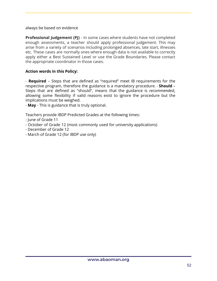always be based on evidence

**Professional Judgement (PJ)** - In some cases where students have not completed enough assessments, a teacher should apply professional judgement. This may arise from a variety of scenarios including prolonged absences, late start, illnesses etc. These cases are normally ones where enough data is not available to correctly apply either a Best Sustained Level or use the Grade Boundaries. Please contact the appropriate coordinator in those cases.

# **Action words in this Policy:**

- **Required** – Steps that are defined as "required" meet IB requirements for the respective program, therefore the guidance is a mandatory procedure. - **Should** – Steps that are defined as "should", means that the guidance is *recommended***,** allowing some flexibility if valid reasons exist to ignore the procedure but the implications must be weighed.

- **May** - This is guidance that is truly optional.

Teachers provide IBDP Predicted Grades at the following times:

- June of Grade 11
- October of Grade 12 (most commonly used for university applications)
- December of Grade 12
- March of Grade 12 (for IBDP use only)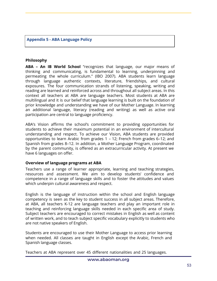**Appendix 5 - ABA Language Policy**

#### **Philosophy**

**ABA – An IB World School** "recognizes that language, our major means of thinking and communicating, is fundamental to learning, underpinning and permeating the whole curriculum." (IBO 2007). ABA students learn language through language authentic contexts, literature, friendships, and cultural exposures. The four communication strands of listening, speaking, writing and reading are learned and reinforced across and throughout all subject areas. In this context all teachers at ABA are language teachers. Most students at ABA are multilingual and it is our belief that language learning is built on the foundation of prior knowledge and understanding we have of our Mother Language. In learning an additional language, literacy (reading and writing) as well as active oral participation are central to language proficiency.

ABA's Vision affirms the school's commitment to providing opportunities for students to achieve their maximum potential in an environment of intercultural understanding and respect. To achieve our Vision, ABA students are provided opportunities to learn Arabic from grades 1 – 12; French from grades 6–12; and Spanish from grades 8–12. In addition, a Mother Language Program, coordinated by the parent community, is offered as an extracurricular activity. At present we have 6 languages on offer.

#### **Overview of language programs at ABA**

Teachers use a range of learner appropriate, learning and teaching strategies, resources and assessment. We aim to develop students' confidence and competence in a range of language skills and to foster the attitudes and values which underpin cultural awareness and respect.

English is the language of instruction within the school and English language competency is seen as the key to student success in all subject areas. Therefore, at ABA, all teachers K-12 are language teachers and play an important role in teaching and reinforcing language skills needed in each specific area of study. Subject teachers are encouraged to correct mistakes in English as well as content of written work, and to teach subject specific vocabulary explicitly to students who are not native speakers of English.

Students are encouraged to use their Mother Language to access prior learning when needed. All classes are taught in English except the Arabic, French and Spanish language classes.

Teachers at ABA represent over 45 different nationalities and 25 languages.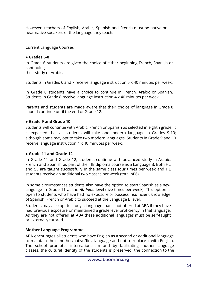However, teachers of English, Arabic, Spanish and French must be native or near native speakers of the language they teach.

Current Language Courses

# **● Grades 6-8**

In Grade 6 students are given the choice of either beginning French, Spanish or continuing

their study of Arabic.

Students in Grades 6 and 7 receive language instruction 5 x 40 minutes per week.

In Grade 8 students have a choice to continue in French, Arabic or Spanish. Students in Grade 8 receive language instruction 4 x 40 minutes per week.

Parents and students are made aware that their choice of language in Grade 8 should continue until the end of Grade 12.

# **● Grade 9 and Grade 10**

Students will continue with Arabic, French or Spanish as selected in eighth grade. It is expected that all students will take one modern language in Grades 9-10; although some may opt to take two modern languages. Students in Grade 9 and 10 receive language instruction 4 x 40 minutes per week.

# **● Grade 11 and Grade 12**

In Grade 11 and Grade 12, students continue with advanced study in Arabic, French and Spanish as part of their IB diploma course as a Language B. Both HL and SL are taught successfully in the same class four times per week and HL students receive an additional two classes per week (total of 6)

In some circumstances students also have the option to start Spanish as a new language in Grade 11 at the *Ab Initio* level (five times per week). This option is open to students who have had no exposure or possess insufficient knowledge of Spanish, French or Arabic to succeed at the Language B level.

Students may also opt to study a language that is not offered at ABA if they have had previous exposure or maintained a grade level proficiency in that language. As they are not offered at ABA these additional languages must be self-taught or externally tutored.

# **Mother Language Programme**

ABA encourages all students who have English as a second or additional language to maintain their mother/native/first language and not to replace it with English. The school promotes internationalism and by facilitating mother language classes, the cultural identity of the students is preserved, the connection to the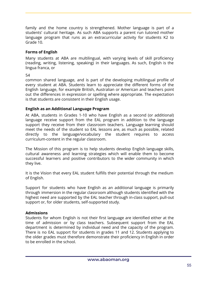family and the home country is strengthened. Mother language is part of a students' cultural heritage. As such ABA supports a parent run tutored mother language program that runs as an extracurricular activity for students K2 to Grade 10.

# **Forms of English**

Many students at ABA are multilingual, with varying levels of skill proficiency (reading, writing, listening, speaking) in their languages. As such, English is the lingua franca, or

54

common shared language, and is part of the developing multilingual profile of every student at ABA. Students learn to appreciate the different forms of the English language, for example British, Australian or American and teachers point out the differences in expression or spelling where appropriate. The expectation is that students are consistent in their English usage.

# **English as an Additional Language Program**

At ABA, students in Grades 1-10 who have English as a second (or additional) language receive support from the EAL program in addition to the language support they receive from their classroom teachers. Language learning should meet the needs of the student so EAL lessons are, as much as possible, related directly to the language/vocabulary the student requires to access curriculum-content in the regular classroom.

The Mission of this program is to help students develop English language skills, cultural awareness and learning strategies which will enable them to become successful learners and positive contributors to the wider community in which they live.

It is the Vision that every EAL student fulfills their potential through the medium of English.

Support for students who have English as an additional language is primarily through immersion in the regular classroom although students identified with the highest need are supported by the EAL teacher through in-class support, pull-out support or, for older students, self-supported study.

# **Admissions**

Students for whom English is not their first language are identified either at the time of admission or by class teachers. Subsequent support from the EAL department is determined by individual need and the capacity of the program. There is no EAL support for students in grades 11 and 12. Students applying to the older grades must therefore demonstrate their proficiency in English in order to be enrolled in the school.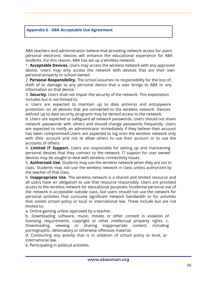#### **Appendix 6 - ABA Acceptable Use Agreement**

ABA teachers and administration believe that providing network access for users' personal electronic devices will enhance the educational experience for ABA students. For this reason, ABA has set up a wireless network.

1. **Acceptable Devices.** Users may access the wireless network with any approved device. Users may only access the network with devices that are their own personal property or school-owned.

2. **Personal Responsibility.** The school assumes no responsibility for the loss of, theft of or damage to any personal device that a user brings to ABA or any information on that device.

3. **Security.** Users shall not impair the security of the network. This expectation includes but is not limited to:

a. Users are expected to maintain up to date antivirus and antispyware protection on all devices that are connected to the wireless network. Devices without up to date security programs may be denied access to the network.

b. Users are expected to safeguard all network passwords. Users should not share network passwords with others and should change passwords frequently. Users are expected to notify an administrator immediately if they believe their account has been compromised.Users are expected to log onto the wireless network only with their account and not to allow others to use their account or to use the accounts of others.

4. **Limited IT Support.** Users are responsible for setting up and maintaining personal devices that they connect to the network. IT support for user owned devices may be sought to deal with wireless connectivity issues.

5. **Authorized Use.** Students may use the wireless network when they are not in class. Students may not use the wireless network in class unless authorized by the teacher of that class.

6. **Inappropriate Use.** The wireless network is a shared and limited resource and all users have an obligation to use that resource responsibly. Users are provided access to the wireless network for educational purposes. Incidental personal use of the network is acceptable outside class, but users should not use the network for personal activities that consume significant network bandwidth or for activities that violate school policy or local or international law. These include but are not limited to:

a. Online gaming unless approved by a teacher.

b. Downloading software, music, movies or other content in violation of licensing requirements, copyright or other intellectual property rights. c. Downloading, viewing or sharing inappropriate content, including pornographic, defamatory or otherwise offensive material.

d. Conducting any activity that is in violation of school policy or local, or international law.

e. Participating in political activities.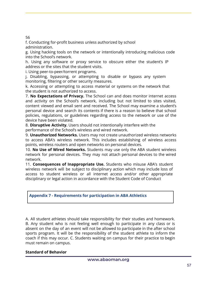56

f. Conducting for-profit business unless authorized by school administration.

g. Using hacking tools on the network or intentionally introducing malicious code into the School's network.

h. Using any software or proxy service to obscure either the student's IP address or the sites that the student visits.

i. Using peer-to-peer/torrent programs.

j. Disabling, bypassing, or attempting to disable or bypass any system monitoring, filtering or other security measures.

k. Accessing or attempting to access material or systems on the network that the student is not authorized to access.

7. **No Expectations of Privacy.** The School can and does monitor internet access and activity on the School's network, including but not limited to sites visited, content viewed and email sent and received. The School may examine a student's personal device and search its contents if there is a reason to believe that school policies, regulations, or guidelines regarding access to the network or use of the device have been violated.

8. **Disruptive Activity.** Users should not intentionally interfere with the performance of the School's wireless and wired network.

9. **Unauthorized Networks.** Users may not create unauthorized wireless networks to access ABA's wireless network. This includes establishing of wireless access points, wireless routers and open networks on personal devices.

10. **No Use of Wired Networks.** Students may use only the ABA student wireless network for personal devices. They may not attach personal devices to the wired network.

11. **Consequences of Inappropriate Use.** Students who misuse ABA's student wireless network will be subject to disciplinary action which may include loss of access to student wireless or all internet access and/or other appropriate disciplinary or legal action in accordance with the Student Code of Conduct

# **Appendix 7 - Requirements for participation in ABA Athletics**

A. All student athletes should take responsibility for their studies and homework. B. Any student who is not feeling well enough to participate in any class or is absent on the day of an event will not be allowed to participate in the after school sports program. It will be the responsibility of the student athlete to inform the coach if this may occur. C. Students waiting on campus for their practice to begin must remain on campus.

# **Standard of Behavior**